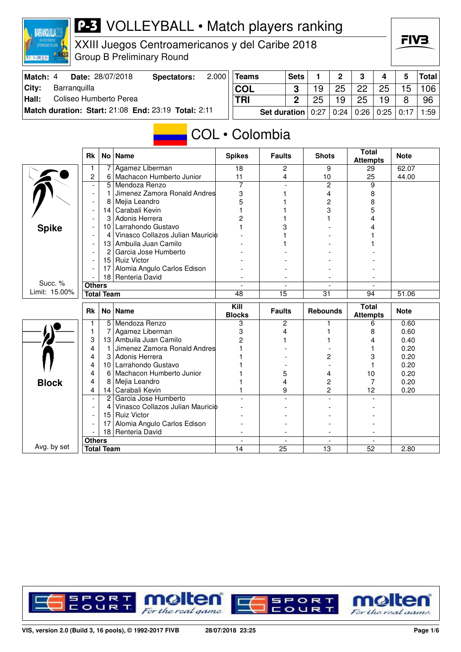

XXIII Juegos Centroamericanos y del Caribe 2018 Group B Preliminary Round

| Match: 4 |              | Date: 28/07/2018       | Spectators:                                         | 2.000 | <b>Teams</b> |                                                 | <b>Sets</b> |    | $\Omega$ | $\mathbf{r}$ | $\Delta$ | 5  | $ $ Total $ $ |
|----------|--------------|------------------------|-----------------------------------------------------|-------|--------------|-------------------------------------------------|-------------|----|----------|--------------|----------|----|---------------|
| City:    | Barranguilla |                        |                                                     |       | <b>COL</b>   |                                                 |             |    | 25       | <b>22</b>    | 25       | 15 | 106           |
| Hall:    |              | Coliseo Humberto Perea |                                                     |       | <b>TRI</b>   |                                                 |             | 25 | 19       | 25           | 19       | 8  | 96            |
|          |              |                        | Match duration: Start: 21:08 End: 23:19 Total: 2:11 |       |              | Set duration   0:27   0:24   0:26   0:25   0:17 |             |    |          |              |          |    | 1:59          |

#### COL • Colombia

|               | <b>Rk</b>                |                   | No   Name                        | <b>Spikes</b>   | <b>Faults</b>            | <b>Shots</b>    | <b>Total</b><br><b>Attempts</b> | <b>Note</b> |
|---------------|--------------------------|-------------------|----------------------------------|-----------------|--------------------------|-----------------|---------------------------------|-------------|
|               | 1                        | 7                 | Agamez Liberman                  | $\overline{18}$ | $\overline{2}$           | 9               | 29                              | 62.07       |
|               | $\overline{c}$           | 6                 | Machacon Humberto Junior         | 11              | 4                        | 10              | 25                              | 44.00       |
|               |                          | $\overline{5}$    | Mendoza Renzo                    | $\overline{7}$  |                          | $\overline{2}$  | 9                               |             |
|               | $\overline{\phantom{a}}$ | 1                 | Jimenez Zamora Ronald Andres     | 3               |                          | 4               | 8                               |             |
|               |                          | 8                 | Mejia Leandro                    | 5               |                          | 2               | 8                               |             |
|               |                          | 14                | Carabali Kevin                   |                 |                          | 3               | 5                               |             |
|               |                          | 3                 | Adonis Herrera                   | 2               |                          |                 | 4                               |             |
| <b>Spike</b>  |                          | 10 <sub>1</sub>   | Larrahondo Gustavo               |                 |                          |                 |                                 |             |
|               |                          | 4                 | Vinasco Collazos Julian Mauricio |                 |                          |                 |                                 |             |
|               |                          | 13                | Ambuila Juan Camilo              |                 |                          |                 |                                 |             |
|               |                          | 2                 | Garcia Jose Humberto             |                 |                          |                 |                                 |             |
|               |                          |                   | 15 Ruiz Victor                   |                 |                          |                 |                                 |             |
|               |                          | 17                | Alomia Angulo Carlos Edison      |                 |                          |                 |                                 |             |
|               | Renteria David<br>18     |                   |                                  |                 |                          |                 |                                 |             |
| Succ. %       | <b>Others</b>            |                   |                                  |                 |                          |                 |                                 |             |
| Limit: 15.00% |                          | <b>Total Team</b> |                                  | 48              | 15                       | 31              | 94                              | 51.06       |
|               |                          |                   |                                  | Kill            |                          |                 | <b>Total</b>                    |             |
|               | <b>Rk</b>                |                   | No   Name                        | <b>Blocks</b>   | <b>Faults</b>            | <b>Rebounds</b> | <b>Attempts</b>                 | <b>Note</b> |
|               | 1                        |                   | 5 Mendoza Renzo                  | 3               | $\overline{\mathbf{c}}$  |                 | 6                               | 0.60        |
|               | 1                        | 7                 | Agamez Liberman                  | 3               | 4                        |                 | 8                               | 0.60        |
|               | 3                        | 13                | Ambuila Juan Camilo              | $\overline{c}$  |                          |                 | 4                               | 0.40        |
|               | 4                        | $\mathbf{1}$      | Jimenez Zamora Ronald Andres     |                 |                          |                 |                                 | 0.20        |
|               | 4                        | 3                 | Adonis Herrera                   |                 |                          | 2               | 3                               | 0.20        |
|               | 4                        | 10                | Larrahondo Gustavo               |                 |                          |                 |                                 | 0.20        |
|               | 4                        | 6                 | Machacon Humberto Junior         |                 | 5                        | 4               | 10                              | 0.20        |
|               | 4                        | 8                 | Mejia Leandro                    |                 | 4                        | 2               | 7                               | 0.20        |
| <b>Block</b>  | 4                        | 14                | Carabali Kevin                   |                 | 9                        | $\overline{c}$  | 12                              | 0.20        |
|               |                          | $\overline{2}$    | Garcia Jose Humberto             |                 |                          |                 |                                 |             |
|               |                          | 4                 | Vinasco Collazos Julian Mauricio |                 |                          |                 |                                 |             |
|               |                          | 15 <sup>1</sup>   | <b>Ruiz Victor</b>               |                 |                          |                 |                                 |             |
|               |                          | 17                | Alomia Angulo Carlos Edison      |                 |                          |                 |                                 |             |
|               |                          |                   | 18 Renteria David                |                 |                          |                 |                                 |             |
| Avg. by set   | <b>Others</b>            |                   |                                  | $\blacksquare$  | $\overline{\phantom{a}}$ | $\sim$          | $\overline{\phantom{a}}$        |             |

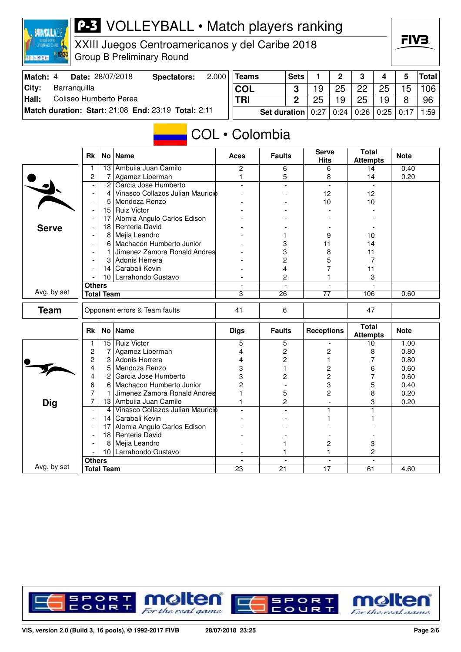

XXIII Juegos Centroamericanos y del Caribe 2018 Group B Preliminary Round

| Match: 4 | <b>Date: 28/07/2018</b>                             | Spectators: | 2.000 | Teams                                                            | <b>Sets</b> | $\overline{2}$ | $\mathbf{3}$ | 4  | 5  | Total |
|----------|-----------------------------------------------------|-------------|-------|------------------------------------------------------------------|-------------|----------------|--------------|----|----|-------|
| City:    | Barranguilla                                        |             |       | <b>COL</b>                                                       |             | 25             | 22           | 25 | 15 | 106   |
| Hall:    | Coliseo Humberto Perea                              |             |       | <b>TRI</b>                                                       |             | 19             | 25           | 19 | 8  | 96    |
|          | Match duration: Start: 21:08 End: 23:19 Total: 2:11 |             |       | <b>Set duration</b>   $0:27$   $0:24$   $0:26$   $0:25$   $0:17$ |             |                |              |    |    | 1:59  |

#### COL • Colombia

|              | <b>Rk</b>                |                   | No   Name                        | <b>Aces</b>                                 | <b>Faults</b>                  | <b>Serve</b><br><b>Hits</b>    | <b>Total</b><br><b>Attempts</b> | <b>Note</b> |
|--------------|--------------------------|-------------------|----------------------------------|---------------------------------------------|--------------------------------|--------------------------------|---------------------------------|-------------|
|              | 1                        | 13                | Ambuila Juan Camilo              | $\overline{2}$                              | 6                              | 6                              | 14                              | 0.40        |
|              | $\overline{c}$           | 7                 | Agamez Liberman                  | $\mathbf{1}$                                | 5                              | 8                              | 14                              | 0.20        |
|              | $\overline{\phantom{a}}$ | $\overline{c}$    | Garcia Jose Humberto             | $\overline{a}$                              | $\overline{a}$                 | $\overline{\phantom{a}}$       | $\mathbf{r}$                    |             |
|              | $\overline{\phantom{a}}$ | 4                 | Vinasco Collazos Julian Mauricio |                                             |                                | 12                             | 12                              |             |
|              | $\overline{\phantom{a}}$ | 5                 | Mendoza Renzo                    |                                             |                                | 10                             | 10                              |             |
|              | $\overline{\phantom{a}}$ | 15                | <b>Ruiz Victor</b>               |                                             |                                |                                |                                 |             |
|              | $\overline{\phantom{a}}$ | 17                | Alomia Angulo Carlos Edison      |                                             |                                |                                |                                 |             |
| <b>Serve</b> |                          | 18                | Renteria David                   |                                             |                                |                                |                                 |             |
|              |                          | 8                 | Mejia Leandro                    |                                             | 1                              | 9                              | 10                              |             |
|              |                          | 6                 | Machacon Humberto Junior         |                                             | 3                              | 11                             | 14                              |             |
|              |                          | 1                 | Jimenez Zamora Ronald Andres     |                                             | 3                              | 8                              | 11                              |             |
|              |                          | 3                 | Adonis Herrera                   |                                             | 2                              | 5                              | 7                               |             |
|              |                          | 14                | Carabali Kevin                   |                                             | 4                              | 7                              | 11                              |             |
|              |                          |                   | 10 Larrahondo Gustavo            |                                             | 2                              |                                | 3                               |             |
|              | <b>Others</b>            |                   |                                  | $\blacksquare$                              | $\blacksquare$                 | $\blacksquare$                 | $\overline{\phantom{a}}$        |             |
| Avg. by set  |                          | <b>Total Team</b> |                                  | 3                                           | 26                             | 77                             | 106                             | 0.60        |
| <b>Team</b>  |                          |                   | Opponent errors & Team faults    | 41                                          | 6                              |                                | 47                              |             |
|              |                          |                   |                                  |                                             |                                |                                |                                 |             |
|              | <b>Rk</b>                |                   | No   Name                        | <b>Digs</b>                                 | <b>Faults</b>                  | <b>Receptions</b>              | <b>Total</b><br><b>Attempts</b> | <b>Note</b> |
|              | 1                        | 15 <sub>1</sub>   | <b>Ruiz Victor</b>               | 5                                           | 5                              |                                | 10                              | 1.00        |
|              | 2                        | 7                 | Agamez Liberman                  | 4                                           | 2                              | $\overline{c}$                 | 8                               | 0.80        |
|              | 2                        | 3                 | Adonis Herrera                   | 4                                           | $\overline{c}$                 |                                |                                 | 0.80        |
|              | 4                        | 5                 | Mendoza Renzo                    | 3                                           | 1                              | $\overline{c}$                 | 6                               | 0.60        |
|              | 4                        | 2                 | Garcia Jose Humberto             | 3                                           | 2                              | $\overline{c}$                 | 7                               | 0.60        |
|              | 6                        | 6                 | Machacon Humberto Junior         | $\overline{2}$                              |                                | 3                              | 5                               | 0.40        |
|              | $\overline{7}$           | 1                 | Jimenez Zamora Ronald Andres     | 1                                           | 5                              | $\overline{2}$                 | 8                               | 0.20        |
|              | 7                        | 13                | Ambuila Juan Camilo              | 1                                           | $\overline{c}$                 | $\overline{a}$                 | 3                               | 0.20        |
| <b>Dig</b>   | $\overline{\phantom{a}}$ | $\overline{4}$    | Vinasco Collazos Julian Mauricio |                                             | ۰                              |                                |                                 |             |
|              | $\overline{\phantom{a}}$ | 14                | Carabali Kevin                   |                                             |                                |                                |                                 |             |
|              |                          | 17                | Alomia Angulo Carlos Edison      |                                             |                                |                                |                                 |             |
|              | $\blacksquare$           | 18                | Renteria David                   |                                             |                                |                                |                                 |             |
|              |                          | 8                 | Mejia Leandro                    |                                             | 1                              | $\overline{\mathbf{c}}$        | 3                               |             |
|              |                          |                   | 10 Larrahondo Gustavo            |                                             | 1                              | 1                              | 2                               |             |
| Avg. by set  | <b>Others</b>            | <b>Total Team</b> |                                  | $\overline{\phantom{a}}$<br>$\overline{23}$ | $\overline{\phantom{a}}$<br>21 | $\overline{\phantom{a}}$<br>17 | $\blacksquare$<br>61            | 4.60        |

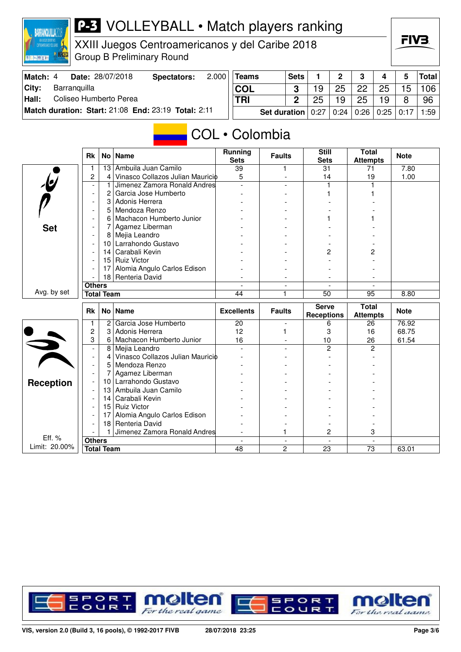

XXIII Juegos Centroamericanos y del Caribe 2018 Group B Preliminary Round

| Match: 4 |              | Date: 28/07/2018       | Spectators:                                         | 2.000 | <b>Teams</b> |                            | <b>Sets</b> |    | <sup>o</sup> | າ                |                  |    | <b>Total</b> |
|----------|--------------|------------------------|-----------------------------------------------------|-------|--------------|----------------------------|-------------|----|--------------|------------------|------------------|----|--------------|
| ∣Citv:   | Barranquilla |                        |                                                     |       | <b>COL</b>   |                            | C           |    | 25           | 22               | 25               | 15 | 106          |
| Hall:    |              | Coliseo Humberto Perea |                                                     |       | <b>TRI</b>   |                            | C           | つに | 19           | 25               | 19               | я  | 96           |
|          |              |                        | Match duration: Start: 21:08 End: 23:19 Total: 2:11 |       |              | Set duration $0.27$   0.24 |             |    |              | $\mid 0.26 \mid$ | $0.25 \mid 0.17$ |    | :59          |

### COL • Colombia

|                         | <b>Rk</b>                          |                 | No   Name                        | <b>Running</b><br><b>Sets</b> | <b>Faults</b>  | <b>Still</b><br><b>Sets</b>       | <b>Total</b><br><b>Attempts</b> | <b>Note</b> |
|-------------------------|------------------------------------|-----------------|----------------------------------|-------------------------------|----------------|-----------------------------------|---------------------------------|-------------|
|                         | 1                                  | 13              | Ambuila Juan Camilo              | 39                            |                | 31                                | 71                              | 7.80        |
|                         | $\overline{c}$                     | 4               | Vinasco Collazos Julian Mauricio | 5                             |                | 14                                | 19                              | 1.00        |
| $\overline{\mathbf{e}}$ | $\blacksquare$                     | 1               | Jimenez Zamora Ronald Andres     |                               |                |                                   |                                 |             |
|                         | $\blacksquare$                     | 2               | Garcia Jose Humberto             |                               |                |                                   |                                 |             |
|                         | $\overline{\phantom{a}}$           | 3               | Adonis Herrera                   |                               |                |                                   |                                 |             |
|                         |                                    | 5               | Mendoza Renzo                    |                               |                |                                   |                                 |             |
|                         |                                    | 6               | Machacon Humberto Junior         |                               |                |                                   |                                 |             |
| <b>Set</b>              | $\overline{\phantom{a}}$           | 7               | Agamez Liberman                  |                               |                |                                   |                                 |             |
|                         |                                    | 8               | Mejia Leandro                    |                               |                |                                   |                                 |             |
|                         |                                    | 10              | Larrahondo Gustavo               |                               |                |                                   |                                 |             |
|                         |                                    | 14              | Carabali Kevin                   |                               |                | 2                                 | 2                               |             |
|                         |                                    |                 | 15 Ruiz Victor                   |                               |                |                                   |                                 |             |
|                         |                                    | 17              | Alomia Angulo Carlos Edison      |                               |                |                                   |                                 |             |
|                         |                                    |                 | 18 Renteria David                |                               |                |                                   |                                 |             |
|                         | <b>Others</b>                      |                 |                                  | $\overline{\phantom{a}}$      | $\blacksquare$ | $\overline{\phantom{a}}$          |                                 |             |
| Avg. by set             | <b>Total Team</b>                  |                 |                                  | 44                            | 1              | 50                                | 95                              | 8.80        |
|                         |                                    |                 |                                  |                               |                |                                   |                                 |             |
|                         | <b>Rk</b>                          |                 | No   Name                        | <b>Excellents</b>             | <b>Faults</b>  | <b>Serve</b><br><b>Receptions</b> | <b>Total</b><br><b>Attempts</b> | <b>Note</b> |
|                         | 1                                  | 2               | Garcia Jose Humberto             | 20                            |                | 6                                 | 26                              | 76.92       |
|                         | 2                                  | 3               | Adonis Herrera                   | 12                            | 1              | 3                                 | 16                              | 68.75       |
|                         | 3                                  | 6               | Machacon Humberto Junior         | 16                            |                | 10                                | 26                              | 61.54       |
|                         | $\overline{\phantom{a}}$           | 8               | Mejia Leandro                    |                               |                | 2                                 | 2                               |             |
|                         | $\overline{\phantom{a}}$           | 4               | Vinasco Collazos Julian Mauricio |                               |                |                                   |                                 |             |
|                         |                                    | 5               | Mendoza Renzo                    |                               |                |                                   |                                 |             |
|                         |                                    | 7               | Agamez Liberman                  |                               |                |                                   |                                 |             |
|                         |                                    |                 | 10 Larrahondo Gustavo            |                               |                |                                   |                                 |             |
| <b>Reception</b>        |                                    | 13              | Ambuila Juan Camilo              |                               |                |                                   |                                 |             |
|                         |                                    | 14              | Carabali Kevin                   |                               |                |                                   |                                 |             |
|                         |                                    |                 | 15 Ruiz Victor                   |                               |                |                                   |                                 |             |
|                         |                                    | 17              | Alomia Angulo Carlos Edison      |                               |                |                                   |                                 |             |
|                         |                                    | 18 <sup>1</sup> | Renteria David                   |                               |                |                                   |                                 |             |
|                         |                                    | $\mathbf{1}$    | Jimenez Zamora Ronald Andres     |                               | 1              | $\overline{c}$                    | 3                               |             |
| Eff. %<br>Limit: 20.00% | <b>Others</b><br><b>Total Team</b> |                 |                                  | 48                            | $\overline{2}$ | $\overline{23}$                   | $\overline{73}$                 | 63.01       |

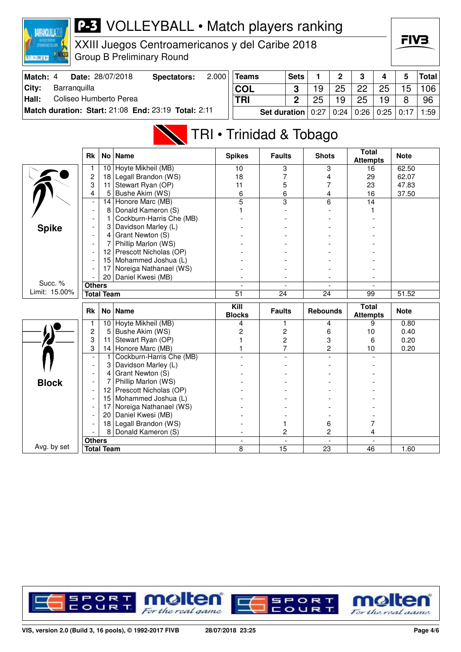

XXIII Juegos Centroamericanos y del Caribe 2018 Group B Preliminary Round



| Match: 4 | Date: 28/07/2018                                    | Spectators: | 2.000 | <b>Teams</b>                                                     | <b>Sets</b> |    | $\overline{2}$ | $\mathbf{R}$ | $\overline{4}$ |    | Total |
|----------|-----------------------------------------------------|-------------|-------|------------------------------------------------------------------|-------------|----|----------------|--------------|----------------|----|-------|
| City:    | Barranguilla                                        |             |       | <b>COL</b>                                                       |             | 19 | 25             | 22           | 25             | 15 | 106   |
| Hall:    | Coliseo Humberto Perea                              |             |       | <b>TRI</b>                                                       |             | 25 | 19             | 25           | 19             | R  | -96   |
|          | Match duration: Start: 21:08 End: 23:19 Total: 2:11 |             |       | <b>Set duration</b>   $0.27$   $0.24$   $0.26$   $0.25$   $0.17$ |             |    |                |              |                |    | 1:59  |

# TRI • Trinidad & Tobago

|               | <b>Rk</b>                | No l              | <b>Name</b>                               | <b>Spikes</b>            | <b>Faults</b>           | <b>Shots</b>    | <b>Total</b><br><b>Attempts</b> | <b>Note</b> |
|---------------|--------------------------|-------------------|-------------------------------------------|--------------------------|-------------------------|-----------------|---------------------------------|-------------|
|               |                          | 10                | Hoyte Mikheil (MB)                        | 10                       | 3                       | 3               | 16                              | 62.50       |
|               | $\overline{c}$           | 18                | Legall Brandon (WS)                       | 18                       | 7                       | 4               | 29                              | 62.07       |
|               | 3                        | 11                | Stewart Ryan (OP)                         | 11                       | 5                       | 7               | 23                              | 47.83       |
|               | 4                        | 5                 | Bushe Akim (WS)                           | 6                        | 6                       | 4               | 16                              | 37.50       |
|               | $\overline{\phantom{a}}$ | 14                | Honore Marc (MB)                          | 5                        | $\overline{\mathbf{3}}$ | 6               | 14                              |             |
|               | $\overline{a}$           | 8                 | Donald Kameron (S)                        |                          |                         |                 |                                 |             |
|               |                          |                   | Cockburn-Harris Che (MB)                  |                          |                         |                 |                                 |             |
| <b>Spike</b>  |                          | 3                 | Davidson Marley (L)                       |                          |                         |                 |                                 |             |
|               |                          | 4                 | Grant Newton (S)                          |                          |                         |                 |                                 |             |
|               |                          | 7                 | Phillip Marlon (WS)                       |                          |                         |                 |                                 |             |
|               |                          | 12 <sup>2</sup>   | Prescott Nicholas (OP)                    |                          |                         |                 |                                 |             |
|               |                          | 15                | Mohammed Joshua (L)                       |                          |                         |                 |                                 |             |
|               |                          | 17                | Noreiga Nathanael (WS)                    |                          |                         |                 |                                 |             |
|               |                          | 20 <sub>1</sub>   | Daniel Kwesi (MB)                         |                          |                         |                 |                                 |             |
| Succ. %       | <b>Others</b>            |                   |                                           |                          | $\blacksquare$          | $\overline{a}$  | $\overline{\phantom{a}}$        |             |
| Limit: 15.00% |                          | <b>Total Team</b> |                                           | 51                       | 24                      | 24              | 99                              | 51.52       |
|               |                          |                   |                                           |                          |                         |                 |                                 |             |
|               | <b>Rk</b>                |                   | No Name                                   | Kill<br><b>Blocks</b>    | <b>Faults</b>           | <b>Rebounds</b> | <b>Total</b><br><b>Attempts</b> | <b>Note</b> |
|               | 1                        | 10                | Hoyte Mikheil (MB)                        | 4                        | 1                       | 4               | 9                               | 0.80        |
|               | $\overline{c}$           | 5                 | Bushe Akim (WS)                           | 2                        | 2                       | 6               | 10                              | 0.40        |
|               | 3                        | 11                | Stewart Ryan (OP)                         |                          | 2                       | 3               | 6                               | 0.20        |
|               | 3                        | 14                | Honore Marc (MB)                          |                          | $\overline{7}$          | $\overline{c}$  | 10                              | 0.20        |
|               |                          | 1                 | Cockburn-Harris Che (MB)                  |                          |                         |                 |                                 |             |
|               |                          | 3                 | Davidson Marley (L)                       |                          |                         |                 |                                 |             |
|               |                          | 4                 | Grant Newton (S)                          |                          |                         |                 |                                 |             |
|               |                          |                   | Phillip Marlon (WS)                       |                          |                         |                 |                                 |             |
| <b>Block</b>  |                          | 12                | Prescott Nicholas (OP)                    |                          |                         |                 |                                 |             |
|               |                          | 15                | Mohammed Joshua (L)                       |                          |                         |                 |                                 |             |
|               |                          | 17                | Noreiga Nathanael (WS)                    |                          |                         |                 |                                 |             |
|               |                          | 20                | Daniel Kwesi (MB)                         |                          |                         |                 |                                 |             |
|               |                          | 18                |                                           |                          |                         | 6               | 7                               |             |
|               |                          | 8                 | Legall Brandon (WS)<br>Donald Kameron (S) |                          | $\overline{c}$          | 2               | 4                               |             |
| Avg. by set   | <b>Others</b>            |                   |                                           | $\overline{\phantom{a}}$ | $\overline{a}$          | $\overline{a}$  |                                 |             |

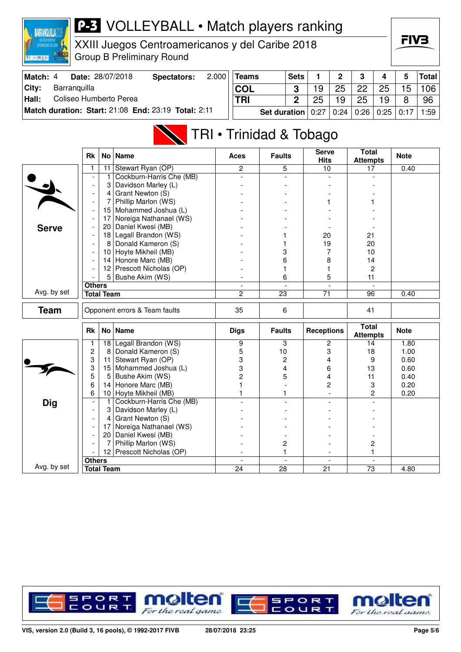

XXIII Juegos Centroamericanos y del Caribe 2018 Group B Preliminary Round



|       | <b>Match: 4 Date: 28/07/2018</b>                    | <b>Spectators:</b> | $2.000$ Teams |            | S |
|-------|-----------------------------------------------------|--------------------|---------------|------------|---|
|       | <b>City:</b> Barranguilla                           |                    |               | <b>COL</b> |   |
| Hall: | Coliseo Humberto Perea                              |                    |               | <b>TRI</b> |   |
|       | Match duration: Start: 21:08 End: 23:19 Total: 2:11 |                    | Set durat     |            |   |

| Teams                                           | <b>Sets</b> |    | 2  | 3  |    | 5  | <b>Total</b> |
|-------------------------------------------------|-------------|----|----|----|----|----|--------------|
| COL                                             |             | 19 | 25 | 22 | 25 | 15 | 106          |
| TRI                                             |             | 25 | 19 | 25 | 19 |    | 96           |
| Set duration   0:27   0:24   0:26   0:25   0:17 |             |    |    |    |    |    | 1:59         |

## TRI • Trinidad & Tobago

|              | <b>Rk</b>                |                                                                     | No Name                   | <b>Aces</b>                    | <b>Faults</b>        | <b>Serve</b><br><b>Hits</b>    | <b>Total</b><br><b>Attempts</b> | <b>Note</b> |
|--------------|--------------------------|---------------------------------------------------------------------|---------------------------|--------------------------------|----------------------|--------------------------------|---------------------------------|-------------|
|              | 1                        | 11                                                                  | Stewart Ryan (OP)         | $\mathbf{2}$                   | 5                    | 10                             | 17                              | 0.40        |
|              |                          | 1                                                                   | Cockburn-Harris Che (MB)  | $\overline{a}$                 |                      |                                |                                 |             |
|              | $\overline{\phantom{a}}$ | 3                                                                   | Davidson Marley (L)       |                                |                      |                                |                                 |             |
|              |                          | 4                                                                   | Grant Newton (S)          |                                |                      |                                |                                 |             |
|              | $\overline{\phantom{a}}$ | 7                                                                   | Phillip Marlon (WS)       |                                |                      |                                |                                 |             |
|              | $\overline{\phantom{a}}$ | 15                                                                  | Mohammed Joshua (L)       |                                |                      |                                |                                 |             |
|              |                          | 17                                                                  | Noreiga Nathanael (WS)    |                                |                      |                                |                                 |             |
| <b>Serve</b> |                          | 20                                                                  | Daniel Kwesi (MB)         |                                |                      |                                |                                 |             |
|              |                          | 18                                                                  | Legall Brandon (WS)       |                                |                      | 20                             | 21                              |             |
|              | $\overline{\phantom{a}}$ | 8                                                                   | Donald Kameron (S)        |                                |                      | 19                             | 20                              |             |
|              |                          | 10 <sup>1</sup>                                                     | Hoyte Mikheil (MB)        |                                | 3                    | 7                              | 10                              |             |
|              |                          |                                                                     | 14 Honore Marc (MB)       |                                | 6                    | 8                              | 14                              |             |
|              |                          | 12 <sub>1</sub>                                                     | Prescott Nicholas (OP)    |                                | 1                    |                                | $\overline{c}$                  |             |
|              |                          |                                                                     | 5 Bushe Akim (WS)         |                                | 6                    | 5                              | 11                              |             |
|              |                          |                                                                     |                           | $\overline{\phantom{a}}$       | $\overline{a}$       |                                |                                 |             |
| Avg. by set  |                          |                                                                     |                           | $\overline{2}$                 | $\overline{23}$      | $\overline{71}$                | 96                              | 0.40        |
| <b>Team</b>  |                          | <b>Others</b><br><b>Total Team</b><br>Opponent errors & Team faults |                           | 35                             | 6                    |                                | 41                              |             |
|              |                          |                                                                     |                           |                                |                      |                                |                                 |             |
|              | <b>Rk</b>                |                                                                     | No Name                   | <b>Digs</b>                    | <b>Faults</b>        | <b>Receptions</b>              | <b>Total</b><br><b>Attempts</b> | <b>Note</b> |
|              | 1                        | 18                                                                  | Legall Brandon (WS)       | 9                              | 3                    | 2                              | $\overline{14}$                 | 1.80        |
|              | $\overline{c}$           | 8                                                                   | Donald Kameron (S)        | 5                              | 10                   | 3                              | 18                              | 1.00        |
|              | 3                        | 11                                                                  | Stewart Ryan (OP)         | 3                              | 2                    | 4                              | 9                               | 0.60        |
|              | 3                        | 15                                                                  | Mohammed Joshua (L)       | 3                              | 4                    | 6                              | 13                              | 0.60        |
|              | 5                        | 5                                                                   | Bushe Akim (WS)           | 2                              | 5                    | 4                              | 11                              | 0.40        |
|              | 6                        | 14                                                                  | Honore Marc (MB)          |                                |                      | $\overline{2}$                 | 3                               | 0.20        |
|              | 6                        | 10                                                                  | Hoyte Mikheil (MB)        |                                | 1                    |                                | $\overline{c}$                  | 0.20        |
| <b>Dig</b>   | $\overline{\phantom{a}}$ | 1                                                                   | Cockburn-Harris Che (MB)  |                                |                      |                                |                                 |             |
|              |                          | 3                                                                   | Davidson Marley (L)       |                                |                      |                                |                                 |             |
|              |                          | $\vert$                                                             | Grant Newton (S)          |                                |                      |                                |                                 |             |
|              |                          | 17                                                                  | Noreiga Nathanael (WS)    |                                |                      |                                |                                 |             |
|              |                          | 20                                                                  | Daniel Kwesi (MB)         |                                |                      |                                |                                 |             |
|              |                          | 7                                                                   | Phillip Marlon (WS)       |                                | 2                    |                                | 2                               |             |
|              |                          |                                                                     | 12 Prescott Nicholas (OP) |                                | 1                    |                                | 1                               |             |
| Avg. by set  | <b>Others</b>            | <b>Total Team</b>                                                   |                           | $\overline{\phantom{a}}$<br>24 | $\blacksquare$<br>28 | $\overline{\phantom{a}}$<br>21 | $\overline{\phantom{a}}$<br>73  | 4.80        |